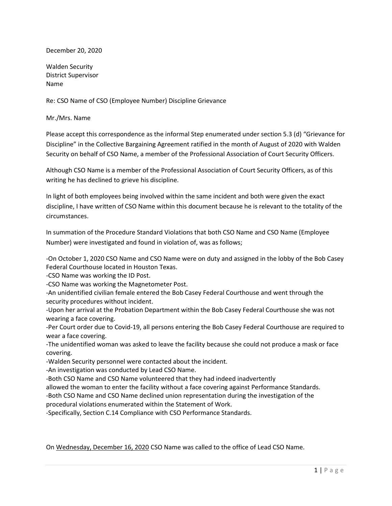December 20, 2020

Walden Security District Supervisor Name

Re: CSO Name of CSO (Employee Number) Discipline Grievance

Mr./Mrs. Name

Please accept this correspondence as the informal Step enumerated under section 5.3 (d) "Grievance for Discipline" in the Collective Bargaining Agreement ratified in the month of August of 2020 with Walden Security on behalf of CSO Name, a member of the Professional Association of Court Security Officers.

Although CSO Name is a member of the Professional Association of Court Security Officers, as of this writing he has declined to grieve his discipline.

In light of both employees being involved within the same incident and both were given the exact discipline, I have written of CSO Name within this document because he is relevant to the totality of the circumstances.

In summation of the Procedure Standard Violations that both CSO Name and CSO Name (Employee Number) were investigated and found in violation of, was as follows;

-On October 1, 2020 CSO Name and CSO Name were on duty and assigned in the lobby of the Bob Casey Federal Courthouse located in Houston Texas.

-CSO Name was working the ID Post.

-CSO Name was working the Magnetometer Post.

-An unidentified civilian female entered the Bob Casey Federal Courthouse and went through the security procedures without incident.

-Upon her arrival at the Probation Department within the Bob Casey Federal Courthouse she was not wearing a face covering.

-Per Court order due to Covid-19, all persons entering the Bob Casey Federal Courthouse are required to wear a face covering.

-The unidentified woman was asked to leave the facility because she could not produce a mask or face covering.

-Walden Security personnel were contacted about the incident.

-An investigation was conducted by Lead CSO Name.

-Both CSO Name and CSO Name volunteered that they had indeed inadvertently

allowed the woman to enter the facility without a face covering against Performance Standards.

-Both CSO Name and CSO Name declined union representation during the investigation of the

procedural violations enumerated within the Statement of Work.

-Specifically, Section C.14 Compliance with CSO Performance Standards.

On Wednesday, December 16, 2020 CSO Name was called to the office of Lead CSO Name.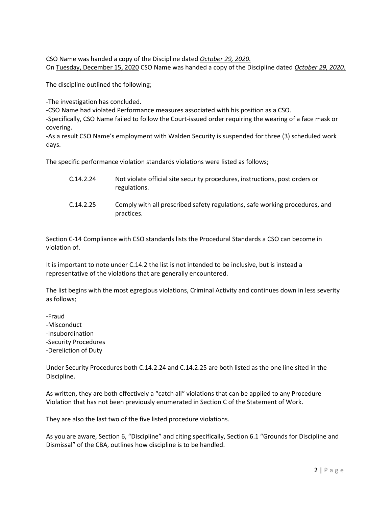CSO Name was handed a copy of the Discipline dated October 29, 2020. On Tuesday, December 15, 2020 CSO Name was handed a copy of the Discipline dated October 29, 2020.

The discipline outlined the following;

-The investigation has concluded.

-CSO Name had violated Performance measures associated with his position as a CSO.

-Specifically, CSO Name failed to follow the Court-issued order requiring the wearing of a face mask or covering.

-As a result CSO Name's employment with Walden Security is suspended for three (3) scheduled work days.

The specific performance violation standards violations were listed as follows;

| C.14.2.24 | Not violate official site security procedures, instructions, post orders or<br>regulations. |
|-----------|---------------------------------------------------------------------------------------------|
| C.14.2.25 | Comply with all prescribed safety regulations, safe working procedures, and<br>practices.   |

Section C-14 Compliance with CSO standards lists the Procedural Standards a CSO can become in violation of.

It is important to note under C.14.2 the list is not intended to be inclusive, but is instead a representative of the violations that are generally encountered.

The list begins with the most egregious violations, Criminal Activity and continues down in less severity as follows;

-Fraud -Misconduct -Insubordination -Security Procedures -Dereliction of Duty

Under Security Procedures both C.14.2.24 and C.14.2.25 are both listed as the one line sited in the Discipline.

As written, they are both effectively a "catch all" violations that can be applied to any Procedure Violation that has not been previously enumerated in Section C of the Statement of Work.

They are also the last two of the five listed procedure violations.

As you are aware, Section 6, "Discipline" and citing specifically, Section 6.1 "Grounds for Discipline and Dismissal" of the CBA, outlines how discipline is to be handled.